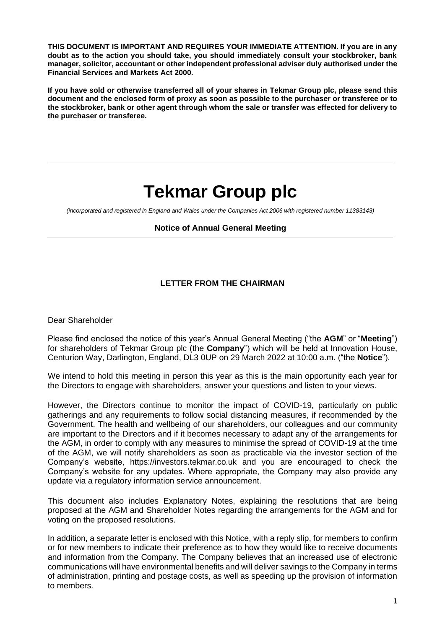**THIS DOCUMENT IS IMPORTANT AND REQUIRES YOUR IMMEDIATE ATTENTION. If you are in any doubt as to the action you should take, you should immediately consult your stockbroker, bank manager, solicitor, accountant or other independent professional adviser duly authorised under the Financial Services and Markets Act 2000.** 

**If you have sold or otherwise transferred all of your shares in Tekmar Group plc, please send this document and the enclosed form of proxy as soon as possible to the purchaser or transferee or to the stockbroker, bank or other agent through whom the sale or transfer was effected for delivery to the purchaser or transferee.**

# **Tekmar Group plc**

*(incorporated and registered in England and Wales under the Companies Act 2006 with registered number 11383143)*

#### **Notice of Annual General Meeting**

### **LETTER FROM THE CHAIRMAN**

Dear Shareholder

Please find enclosed the notice of this year's Annual General Meeting ("the **AGM**" or "**Meeting**") for shareholders of Tekmar Group plc (the **Company**") which will be held at Innovation House, Centurion Way, Darlington, England, DL3 0UP on 29 March 2022 at 10:00 a.m. ("the **Notice**").

We intend to hold this meeting in person this year as this is the main opportunity each year for the Directors to engage with shareholders, answer your questions and listen to your views.

However, the Directors continue to monitor the impact of COVID-19, particularly on public gatherings and any requirements to follow social distancing measures, if recommended by the Government. The health and wellbeing of our shareholders, our colleagues and our community are important to the Directors and if it becomes necessary to adapt any of the arrangements for the AGM, in order to comply with any measures to minimise the spread of COVID-19 at the time of the AGM, we will notify shareholders as soon as practicable via the investor section of the Company's website, https://investors.tekmar.co.uk and you are encouraged to check the Company's website for any updates. Where appropriate, the Company may also provide any update via a regulatory information service announcement.

This document also includes Explanatory Notes, explaining the resolutions that are being proposed at the AGM and Shareholder Notes regarding the arrangements for the AGM and for voting on the proposed resolutions.

In addition, a separate letter is enclosed with this Notice, with a reply slip, for members to confirm or for new members to indicate their preference as to how they would like to receive documents and information from the Company. The Company believes that an increased use of electronic communications will have environmental benefits and will deliver savings to the Company in terms of administration, printing and postage costs, as well as speeding up the provision of information to members.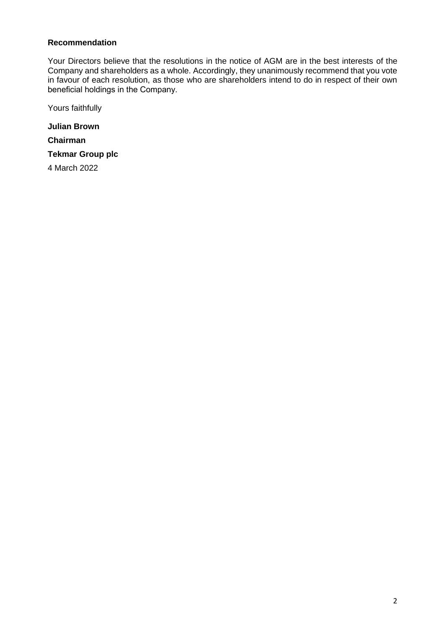#### **Recommendation**

Your Directors believe that the resolutions in the notice of AGM are in the best interests of the Company and shareholders as a whole. Accordingly, they unanimously recommend that you vote in favour of each resolution, as those who are shareholders intend to do in respect of their own beneficial holdings in the Company.

Yours faithfully

**Julian Brown**

**Chairman**

**Tekmar Group plc**

4 March 2022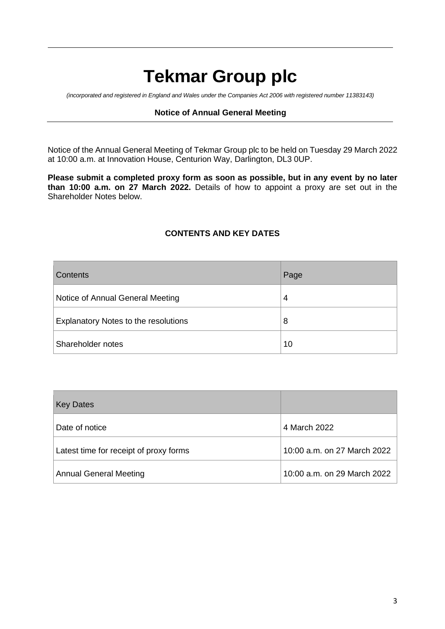# **Tekmar Group plc**

*(incorporated and registered in England and Wales under the Companies Act 2006 with registered number 11383143)*

#### **Notice of Annual General Meeting**

Notice of the Annual General Meeting of Tekmar Group plc to be held on Tuesday 29 March 2022 at 10:00 a.m. at Innovation House, Centurion Way, Darlington, DL3 0UP.

**Please submit a completed proxy form as soon as possible, but in any event by no later than 10:00 a.m. on 27 March 2022.** Details of how to appoint a proxy are set out in the Shareholder Notes below.

### **CONTENTS AND KEY DATES**

| <b>Contents</b>                      | Page |
|--------------------------------------|------|
| Notice of Annual General Meeting     | 4    |
| Explanatory Notes to the resolutions | 8    |
| Shareholder notes                    | 10   |

| <b>Key Dates</b>                       |                             |
|----------------------------------------|-----------------------------|
| Date of notice                         | 4 March 2022                |
| Latest time for receipt of proxy forms | 10:00 a.m. on 27 March 2022 |
| Annual General Meeting                 | 10:00 a.m. on 29 March 2022 |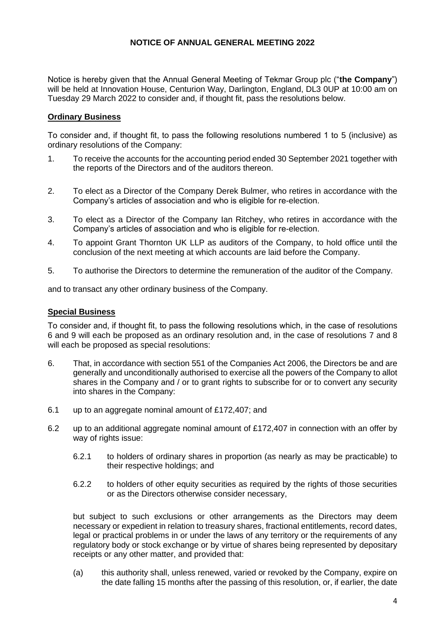#### **NOTICE OF ANNUAL GENERAL MEETING 2022**

Notice is hereby given that the Annual General Meeting of Tekmar Group plc ("**the Company**") will be held at Innovation House, Centurion Way, Darlington, England, DL3 0UP at 10:00 am on Tuesday 29 March 2022 to consider and, if thought fit, pass the resolutions below.

#### **Ordinary Business**

To consider and, if thought fit, to pass the following resolutions numbered 1 to 5 (inclusive) as ordinary resolutions of the Company:

- 1. To receive the accounts for the accounting period ended 30 September 2021 together with the reports of the Directors and of the auditors thereon.
- 2. To elect as a Director of the Company Derek Bulmer, who retires in accordance with the Company's articles of association and who is eligible for re-election.
- 3. To elect as a Director of the Company Ian Ritchey, who retires in accordance with the Company's articles of association and who is eligible for re-election.
- 4. To appoint Grant Thornton UK LLP as auditors of the Company, to hold office until the conclusion of the next meeting at which accounts are laid before the Company.
- 5. To authorise the Directors to determine the remuneration of the auditor of the Company.

and to transact any other ordinary business of the Company.

#### **Special Business**

To consider and, if thought fit, to pass the following resolutions which, in the case of resolutions 6 and 9 will each be proposed as an ordinary resolution and, in the case of resolutions 7 and 8 will each be proposed as special resolutions:

- 6. That, in accordance with section 551 of the Companies Act 2006, the Directors be and are generally and unconditionally authorised to exercise all the powers of the Company to allot shares in the Company and / or to grant rights to subscribe for or to convert any security into shares in the Company:
- 6.1 up to an aggregate nominal amount of £172,407; and
- 6.2 up to an additional aggregate nominal amount of £172,407 in connection with an offer by way of rights issue:
	- 6.2.1 to holders of ordinary shares in proportion (as nearly as may be practicable) to their respective holdings; and
	- 6.2.2 to holders of other equity securities as required by the rights of those securities or as the Directors otherwise consider necessary,

but subject to such exclusions or other arrangements as the Directors may deem necessary or expedient in relation to treasury shares, fractional entitlements, record dates, legal or practical problems in or under the laws of any territory or the requirements of any regulatory body or stock exchange or by virtue of shares being represented by depositary receipts or any other matter, and provided that:

(a) this authority shall, unless renewed, varied or revoked by the Company, expire on the date falling 15 months after the passing of this resolution, or, if earlier, the date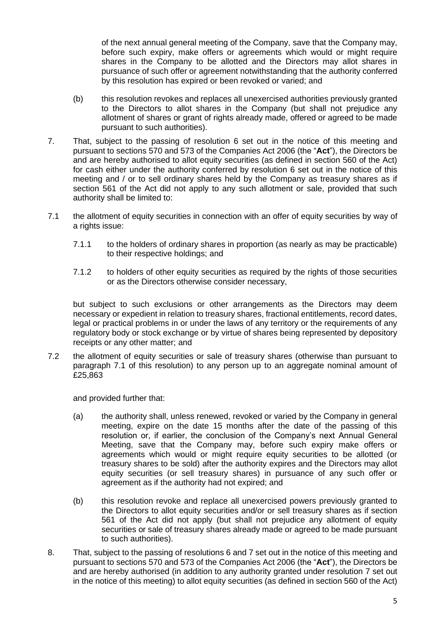of the next annual general meeting of the Company, save that the Company may, before such expiry, make offers or agreements which would or might require shares in the Company to be allotted and the Directors may allot shares in pursuance of such offer or agreement notwithstanding that the authority conferred by this resolution has expired or been revoked or varied; and

- (b) this resolution revokes and replaces all unexercised authorities previously granted to the Directors to allot shares in the Company (but shall not prejudice any allotment of shares or grant of rights already made, offered or agreed to be made pursuant to such authorities).
- 7. That, subject to the passing of resolution 6 set out in the notice of this meeting and pursuant to sections 570 and 573 of the Companies Act 2006 (the "**Act**"), the Directors be and are hereby authorised to allot equity securities (as defined in section 560 of the Act) for cash either under the authority conferred by resolution 6 set out in the notice of this meeting and / or to sell ordinary shares held by the Company as treasury shares as if section 561 of the Act did not apply to any such allotment or sale, provided that such authority shall be limited to:
- 7.1 the allotment of equity securities in connection with an offer of equity securities by way of a rights issue:
	- 7.1.1 to the holders of ordinary shares in proportion (as nearly as may be practicable) to their respective holdings; and
	- 7.1.2 to holders of other equity securities as required by the rights of those securities or as the Directors otherwise consider necessary,

but subject to such exclusions or other arrangements as the Directors may deem necessary or expedient in relation to treasury shares, fractional entitlements, record dates, legal or practical problems in or under the laws of any territory or the requirements of any regulatory body or stock exchange or by virtue of shares being represented by depository receipts or any other matter; and

7.2 the allotment of equity securities or sale of treasury shares (otherwise than pursuant to paragraph 7.1 of this resolution) to any person up to an aggregate nominal amount of £25,863

and provided further that:

- (a) the authority shall, unless renewed, revoked or varied by the Company in general meeting, expire on the date 15 months after the date of the passing of this resolution or, if earlier, the conclusion of the Company's next Annual General Meeting, save that the Company may, before such expiry make offers or agreements which would or might require equity securities to be allotted (or treasury shares to be sold) after the authority expires and the Directors may allot equity securities (or sell treasury shares) in pursuance of any such offer or agreement as if the authority had not expired; and
- (b) this resolution revoke and replace all unexercised powers previously granted to the Directors to allot equity securities and/or or sell treasury shares as if section 561 of the Act did not apply (but shall not prejudice any allotment of equity securities or sale of treasury shares already made or agreed to be made pursuant to such authorities).
- 8. That, subject to the passing of resolutions 6 and 7 set out in the notice of this meeting and pursuant to sections 570 and 573 of the Companies Act 2006 (the "**Act**"), the Directors be and are hereby authorised (in addition to any authority granted under resolution 7 set out in the notice of this meeting) to allot equity securities (as defined in section 560 of the Act)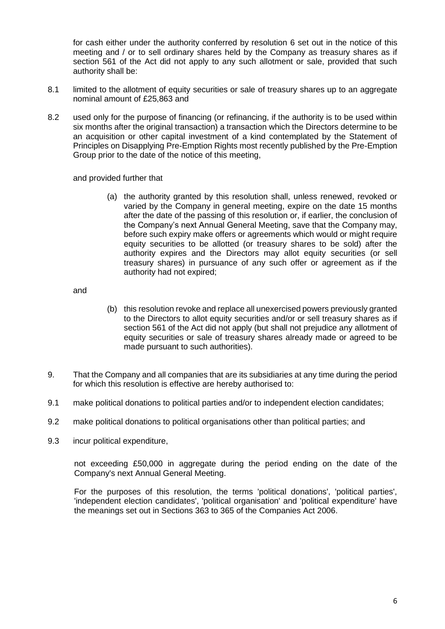for cash either under the authority conferred by resolution 6 set out in the notice of this meeting and / or to sell ordinary shares held by the Company as treasury shares as if section 561 of the Act did not apply to any such allotment or sale, provided that such authority shall be:

- 8.1 limited to the allotment of equity securities or sale of treasury shares up to an aggregate nominal amount of £25,863 and
- 8.2 used only for the purpose of financing (or refinancing, if the authority is to be used within six months after the original transaction) a transaction which the Directors determine to be an acquisition or other capital investment of a kind contemplated by the Statement of Principles on Disapplying Pre-Emption Rights most recently published by the Pre-Emption Group prior to the date of the notice of this meeting,

and provided further that

(a) the authority granted by this resolution shall, unless renewed, revoked or varied by the Company in general meeting, expire on the date 15 months after the date of the passing of this resolution or, if earlier, the conclusion of the Company's next Annual General Meeting, save that the Company may, before such expiry make offers or agreements which would or might require equity securities to be allotted (or treasury shares to be sold) after the authority expires and the Directors may allot equity securities (or sell treasury shares) in pursuance of any such offer or agreement as if the authority had not expired;

and

- (b) this resolution revoke and replace all unexercised powers previously granted to the Directors to allot equity securities and/or or sell treasury shares as if section 561 of the Act did not apply (but shall not prejudice any allotment of equity securities or sale of treasury shares already made or agreed to be made pursuant to such authorities).
- 9. That the Company and all companies that are its subsidiaries at any time during the period for which this resolution is effective are hereby authorised to:
- 9.1 make political donations to political parties and/or to independent election candidates;
- 9.2 make political donations to political organisations other than political parties; and
- 9.3 incur political expenditure,

not exceeding £50,000 in aggregate during the period ending on the date of the Company's next Annual General Meeting.

For the purposes of this resolution, the terms 'political donations', 'political parties', 'independent election candidates', 'political organisation' and 'political expenditure' have the meanings set out in Sections 363 to 365 of the Companies Act 2006.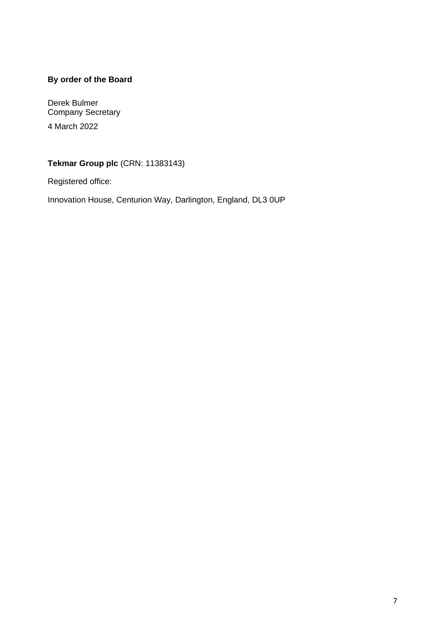## **By order of the Board**

Derek Bulmer Company Secretary 4 March 2022

**Tekmar Group plc** (CRN: 11383143)

Registered office:

Innovation House, Centurion Way, Darlington, England, DL3 0UP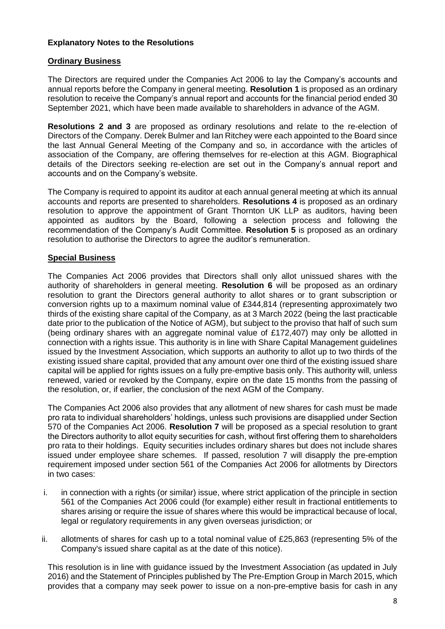#### **Explanatory Notes to the Resolutions**

#### **Ordinary Business**

The Directors are required under the Companies Act 2006 to lay the Company's accounts and annual reports before the Company in general meeting. **Resolution 1** is proposed as an ordinary resolution to receive the Company's annual report and accounts for the financial period ended 30 September 2021, which have been made available to shareholders in advance of the AGM.

**Resolutions 2 and 3** are proposed as ordinary resolutions and relate to the re-election of Directors of the Company. Derek Bulmer and Ian Ritchey were each appointed to the Board since the last Annual General Meeting of the Company and so, in accordance with the articles of association of the Company, are offering themselves for re-election at this AGM. Biographical details of the Directors seeking re-election are set out in the Company's annual report and accounts and on the Company's website.

The Company is required to appoint its auditor at each annual general meeting at which its annual accounts and reports are presented to shareholders. **Resolutions 4** is proposed as an ordinary resolution to approve the appointment of Grant Thornton UK LLP as auditors, having been appointed as auditors by the Board, following a selection process and following the recommendation of the Company's Audit Committee. **Resolution 5** is proposed as an ordinary resolution to authorise the Directors to agree the auditor's remuneration.

#### **Special Business**

The Companies Act 2006 provides that Directors shall only allot unissued shares with the authority of shareholders in general meeting. **Resolution 6** will be proposed as an ordinary resolution to grant the Directors general authority to allot shares or to grant subscription or conversion rights up to a maximum nominal value of £344,814 (representing approximately two thirds of the existing share capital of the Company, as at 3 March 2022 (being the last practicable date prior to the publication of the Notice of AGM), but subject to the proviso that half of such sum (being ordinary shares with an aggregate nominal value of £172,407) may only be allotted in connection with a rights issue. This authority is in line with Share Capital Management guidelines issued by the Investment Association, which supports an authority to allot up to two thirds of the existing issued share capital, provided that any amount over one third of the existing issued share capital will be applied for rights issues on a fully pre-emptive basis only. This authority will, unless renewed, varied or revoked by the Company, expire on the date 15 months from the passing of the resolution, or, if earlier, the conclusion of the next AGM of the Company.

The Companies Act 2006 also provides that any allotment of new shares for cash must be made pro rata to individual shareholders' holdings, unless such provisions are disapplied under Section 570 of the Companies Act 2006. **Resolution 7** will be proposed as a special resolution to grant the Directors authority to allot equity securities for cash, without first offering them to shareholders pro rata to their holdings. Equity securities includes ordinary shares but does not include shares issued under employee share schemes. If passed, resolution 7 will disapply the pre-emption requirement imposed under section 561 of the Companies Act 2006 for allotments by Directors in two cases:

- i. in connection with a rights (or similar) issue, where strict application of the principle in section 561 of the Companies Act 2006 could (for example) either result in fractional entitlements to shares arising or require the issue of shares where this would be impractical because of local, legal or regulatory requirements in any given overseas jurisdiction; or
- ii. allotments of shares for cash up to a total nominal value of £25,863 (representing 5% of the Company's issued share capital as at the date of this notice).

This resolution is in line with guidance issued by the Investment Association (as updated in July 2016) and the Statement of Principles published by The Pre-Emption Group in March 2015, which provides that a company may seek power to issue on a non-pre-emptive basis for cash in any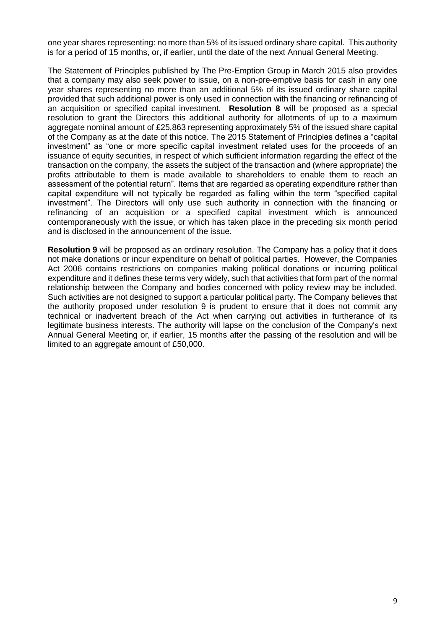one year shares representing: no more than 5% of its issued ordinary share capital. This authority is for a period of 15 months, or, if earlier, until the date of the next Annual General Meeting.

The Statement of Principles published by The Pre-Emption Group in March 2015 also provides that a company may also seek power to issue, on a non-pre-emptive basis for cash in any one year shares representing no more than an additional 5% of its issued ordinary share capital provided that such additional power is only used in connection with the financing or refinancing of an acquisition or specified capital investment. **Resolution 8** will be proposed as a special resolution to grant the Directors this additional authority for allotments of up to a maximum aggregate nominal amount of £25,863 representing approximately 5% of the issued share capital of the Company as at the date of this notice. The 2015 Statement of Principles defines a "capital investment" as "one or more specific capital investment related uses for the proceeds of an issuance of equity securities, in respect of which sufficient information regarding the effect of the transaction on the company, the assets the subject of the transaction and (where appropriate) the profits attributable to them is made available to shareholders to enable them to reach an assessment of the potential return". Items that are regarded as operating expenditure rather than capital expenditure will not typically be regarded as falling within the term "specified capital investment". The Directors will only use such authority in connection with the financing or refinancing of an acquisition or a specified capital investment which is announced contemporaneously with the issue, or which has taken place in the preceding six month period and is disclosed in the announcement of the issue.

**Resolution 9** will be proposed as an ordinary resolution. The Company has a policy that it does not make donations or incur expenditure on behalf of political parties. However, the Companies Act 2006 contains restrictions on companies making political donations or incurring political expenditure and it defines these terms very widely, such that activities that form part of the normal relationship between the Company and bodies concerned with policy review may be included. Such activities are not designed to support a particular political party. The Company believes that the authority proposed under resolution 9 is prudent to ensure that it does not commit any technical or inadvertent breach of the Act when carrying out activities in furtherance of its legitimate business interests. The authority will lapse on the conclusion of the Company's next Annual General Meeting or, if earlier, 15 months after the passing of the resolution and will be limited to an aggregate amount of £50,000.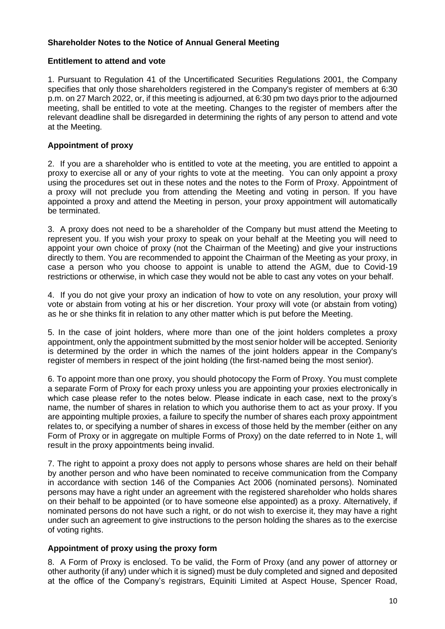#### **Shareholder Notes to the Notice of Annual General Meeting**

#### **Entitlement to attend and vote**

1. Pursuant to Regulation 41 of the Uncertificated Securities Regulations 2001, the Company specifies that only those shareholders registered in the Company's register of members at 6:30 p.m. on 27 March 2022, or, if this meeting is adjourned, at 6:30 pm two days prior to the adjourned meeting, shall be entitled to vote at the meeting. Changes to the register of members after the relevant deadline shall be disregarded in determining the rights of any person to attend and vote at the Meeting.

#### **Appointment of proxy**

2. If you are a shareholder who is entitled to vote at the meeting, you are entitled to appoint a proxy to exercise all or any of your rights to vote at the meeting. You can only appoint a proxy using the procedures set out in these notes and the notes to the Form of Proxy. Appointment of a proxy will not preclude you from attending the Meeting and voting in person. If you have appointed a proxy and attend the Meeting in person, your proxy appointment will automatically be terminated.

3. A proxy does not need to be a shareholder of the Company but must attend the Meeting to represent you. If you wish your proxy to speak on your behalf at the Meeting you will need to appoint your own choice of proxy (not the Chairman of the Meeting) and give your instructions directly to them. You are recommended to appoint the Chairman of the Meeting as your proxy, in case a person who you choose to appoint is unable to attend the AGM, due to Covid-19 restrictions or otherwise, in which case they would not be able to cast any votes on your behalf.

4. If you do not give your proxy an indication of how to vote on any resolution, your proxy will vote or abstain from voting at his or her discretion. Your proxy will vote (or abstain from voting) as he or she thinks fit in relation to any other matter which is put before the Meeting.

5. In the case of joint holders, where more than one of the joint holders completes a proxy appointment, only the appointment submitted by the most senior holder will be accepted. Seniority is determined by the order in which the names of the joint holders appear in the Company's register of members in respect of the joint holding (the first-named being the most senior).

6. To appoint more than one proxy, you should photocopy the Form of Proxy. You must complete a separate Form of Proxy for each proxy unless you are appointing your proxies electronically in which case please refer to the notes below. Please indicate in each case, next to the proxy's name, the number of shares in relation to which you authorise them to act as your proxy. If you are appointing multiple proxies, a failure to specify the number of shares each proxy appointment relates to, or specifying a number of shares in excess of those held by the member (either on any Form of Proxy or in aggregate on multiple Forms of Proxy) on the date referred to in Note 1, will result in the proxy appointments being invalid.

7. The right to appoint a proxy does not apply to persons whose shares are held on their behalf by another person and who have been nominated to receive communication from the Company in accordance with section 146 of the Companies Act 2006 (nominated persons). Nominated persons may have a right under an agreement with the registered shareholder who holds shares on their behalf to be appointed (or to have someone else appointed) as a proxy. Alternatively, if nominated persons do not have such a right, or do not wish to exercise it, they may have a right under such an agreement to give instructions to the person holding the shares as to the exercise of voting rights.

#### **Appointment of proxy using the proxy form**

8. A Form of Proxy is enclosed. To be valid, the Form of Proxy (and any power of attorney or other authority (if any) under which it is signed) must be duly completed and signed and deposited at the office of the Company's registrars, Equiniti Limited at Aspect House, Spencer Road,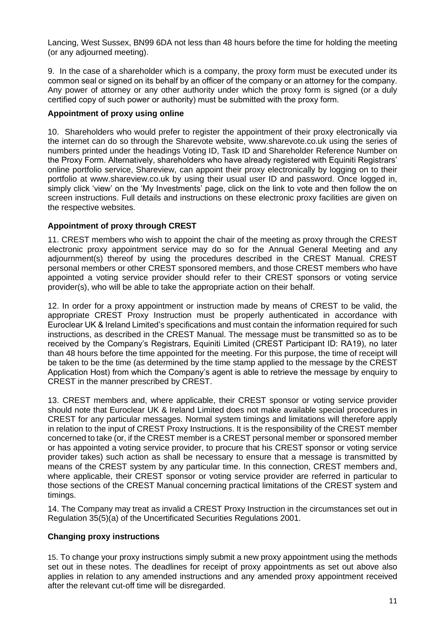Lancing, West Sussex, BN99 6DA not less than 48 hours before the time for holding the meeting (or any adjourned meeting).

9. In the case of a shareholder which is a company, the proxy form must be executed under its common seal or signed on its behalf by an officer of the company or an attorney for the company. Any power of attorney or any other authority under which the proxy form is signed (or a duly certified copy of such power or authority) must be submitted with the proxy form.

#### **Appointment of proxy using online**

10. Shareholders who would prefer to register the appointment of their proxy electronically via the internet can do so through the Sharevote website, www.sharevote.co.uk using the series of numbers printed under the headings Voting ID, Task ID and Shareholder Reference Number on the Proxy Form. Alternatively, shareholders who have already registered with Equiniti Registrars' online portfolio service, Shareview, can appoint their proxy electronically by logging on to their portfolio at www.shareview.co.uk by using their usual user ID and password. Once logged in, simply click 'view' on the 'My Investments' page, click on the link to vote and then follow the on screen instructions. Full details and instructions on these electronic proxy facilities are given on the respective websites.

#### **Appointment of proxy through CREST**

11. CREST members who wish to appoint the chair of the meeting as proxy through the CREST electronic proxy appointment service may do so for the Annual General Meeting and any adjournment(s) thereof by using the procedures described in the CREST Manual. CREST personal members or other CREST sponsored members, and those CREST members who have appointed a voting service provider should refer to their CREST sponsors or voting service provider(s), who will be able to take the appropriate action on their behalf.

12. In order for a proxy appointment or instruction made by means of CREST to be valid, the appropriate CREST Proxy Instruction must be properly authenticated in accordance with Euroclear UK & Ireland Limited's specifications and must contain the information required for such instructions, as described in the CREST Manual. The message must be transmitted so as to be received by the Company's Registrars, Equiniti Limited (CREST Participant ID: RA19), no later than 48 hours before the time appointed for the meeting. For this purpose, the time of receipt will be taken to be the time (as determined by the time stamp applied to the message by the CREST Application Host) from which the Company's agent is able to retrieve the message by enquiry to CREST in the manner prescribed by CREST.

13. CREST members and, where applicable, their CREST sponsor or voting service provider should note that Euroclear UK & Ireland Limited does not make available special procedures in CREST for any particular messages. Normal system timings and limitations will therefore apply in relation to the input of CREST Proxy Instructions. It is the responsibility of the CREST member concerned to take (or, if the CREST member is a CREST personal member or sponsored member or has appointed a voting service provider, to procure that his CREST sponsor or voting service provider takes) such action as shall be necessary to ensure that a message is transmitted by means of the CREST system by any particular time. In this connection, CREST members and, where applicable, their CREST sponsor or voting service provider are referred in particular to those sections of the CREST Manual concerning practical limitations of the CREST system and timings.

14. The Company may treat as invalid a CREST Proxy Instruction in the circumstances set out in Regulation 35(5)(a) of the Uncertificated Securities Regulations 2001.

#### **Changing proxy instructions**

15. To change your proxy instructions simply submit a new proxy appointment using the methods set out in these notes. The deadlines for receipt of proxy appointments as set out above also applies in relation to any amended instructions and any amended proxy appointment received after the relevant cut-off time will be disregarded.